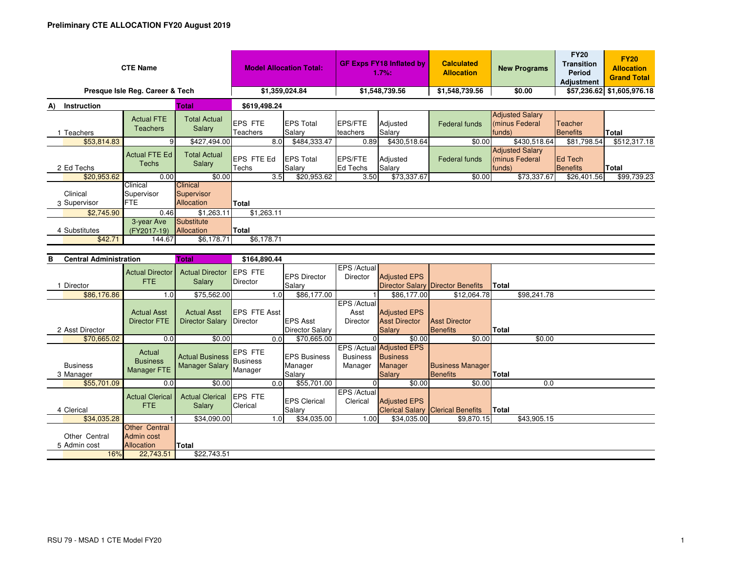| <b>CTE Name</b>                                                                         | <b>Model Allocation Total:</b>       |                                             | <b>GF Exps FY18 Inflated by</b><br>1.7%:                                                  |                            | <b>Calculated</b><br><b>Allocation</b> | <b>New Programs</b> | <b>FY20</b><br><b>Transition</b><br>Period<br><b>Adjustment</b> | <b>FY20</b><br><b>Allocation</b><br><b>Grand Total</b> |                                   |                            |
|-----------------------------------------------------------------------------------------|--------------------------------------|---------------------------------------------|-------------------------------------------------------------------------------------------|----------------------------|----------------------------------------|---------------------|-----------------------------------------------------------------|--------------------------------------------------------|-----------------------------------|----------------------------|
| Presque Isle Reg. Career & Tech                                                         |                                      |                                             | \$1,359,024.84                                                                            |                            | \$1,548,739.56                         |                     | \$1,548,739.56                                                  | \$0.00                                                 |                                   | \$57,236.62 \$1,605,976.18 |
| Total<br>Instruction<br>A)                                                              |                                      |                                             | \$619,498.24                                                                              |                            |                                        |                     |                                                                 |                                                        |                                   |                            |
| 1 Teachers                                                                              | <b>Actual FTE</b><br><b>Teachers</b> | <b>Total Actual</b><br>Salary               | EPS FTE<br>Teachers                                                                       | <b>EPS Total</b><br>Salary | EPS/FTE<br>teachers                    | Adjusted<br>Salary  | Federal funds                                                   | <b>Adjusted Salary</b><br>(minus Federal<br>funds)     | <b>Teacher</b><br><b>Benefits</b> | Total                      |
| \$53,814.83                                                                             | 9                                    | \$427,494.00                                | 8.0 <sub>1</sub>                                                                          | \$484,333.47               | 0.89                                   | \$430,518.64        | \$0.00                                                          | \$430,518.64                                           | \$81,798.54                       | \$512,317.18               |
| 2 Ed Techs                                                                              | <b>Actual FTE Ed</b><br><b>Techs</b> | <b>Total Actual</b><br>Salary               | <b>EPS FTE Ed</b><br>Techs                                                                | <b>EPS Total</b><br>Salary | <b>EPS/FTE</b><br>Ed Techs             | Adjusted<br>Salary  | Federal funds                                                   | <b>Adjusted Salary</b><br>(minus Federal<br>funds)     | Ed Tech<br>Benefits               | Total                      |
| \$20,953.62                                                                             | 0.00                                 | \$0.00                                      | 3.5                                                                                       | \$20,953.62                | 3.50                                   | \$73,337.67         | \$0.00                                                          | \$73,337.67                                            | \$26,401.56                       | \$99,739.23                |
| Clinical<br>3 Supervisor                                                                | Clinical<br>Supervisor<br><b>FTE</b> | <b>Clinical</b><br>Supervisor<br>Allocation | <b>Total</b>                                                                              |                            |                                        |                     |                                                                 |                                                        |                                   |                            |
| \$2,745.90                                                                              | 0.46                                 | \$1,263.11                                  | \$1,263.11                                                                                |                            |                                        |                     |                                                                 |                                                        |                                   |                            |
| 4 Substitutes<br>\$42.71                                                                | 3-year Ave<br>(FY2017-19)<br>144.67  | Substitute<br>Allocation<br>\$6,178.71      | <b>Total</b><br>\$6,178.71                                                                |                            |                                        |                     |                                                                 |                                                        |                                   |                            |
| And a series of the collection of the collection of the collection of the collection of |                                      | <b>PERSONAL</b>                             | $\mathbf{A} \mathbf{A} \mathbf{A} \mathbf{A} \mathbf{A} \mathbf{A} \mathbf{A} \mathbf{A}$ |                            |                                        |                     |                                                                 |                                                        |                                   |                            |

| <b>Central Administration</b><br>в |                                                         | Total                                           | \$164,890.44                |      |                                 |                            |                                                               |                                          |              |             |  |
|------------------------------------|---------------------------------------------------------|-------------------------------------------------|-----------------------------|------|---------------------------------|----------------------------|---------------------------------------------------------------|------------------------------------------|--------------|-------------|--|
|                                    | <b>Actual Director</b><br><b>FTE</b>                    | <b>Actual Director</b><br>Salary                | <b>IEPS FTE</b><br>Director |      | <b>EPS Director</b>             | EPS /Actual<br>Director    | <b>Adjusted EPS</b>                                           |                                          |              |             |  |
| Director                           |                                                         |                                                 |                             |      | Salary                          |                            |                                                               | <b>Director Salary Director Benefits</b> | <b>Total</b> |             |  |
| \$86,176.86                        | 1.0                                                     | \$75,562.00                                     |                             | 1.0  | \$86,177.00                     |                            | \$86,177.00                                                   | \$12,064.78                              |              | \$98,241.78 |  |
|                                    |                                                         |                                                 |                             |      |                                 | EPS /Actual                |                                                               |                                          |              |             |  |
|                                    | <b>Actual Asst</b>                                      | <b>Actual Asst</b>                              | <b>IEPS FTE Asst</b>        |      |                                 | Asst                       | <b>Adjusted EPS</b>                                           |                                          |              |             |  |
|                                    | <b>Director FTE</b>                                     | <b>Director Salary</b>                          | Director                    |      | <b>EPS Asst</b>                 | <b>Director</b>            | <b>Asst Director</b>                                          | <b>Asst Director</b>                     |              |             |  |
| 2 Asst Director                    |                                                         |                                                 |                             |      | <b>Director Salary</b>          |                            | <b>Salary</b>                                                 | Benefits                                 | Total        |             |  |
| \$70,665.02                        | 0.0                                                     | \$0.00                                          |                             | 0.0  | \$70,665.00                     |                            | \$0.00                                                        | \$0.00                                   |              | \$0.00      |  |
| <b>Business</b>                    | Actual<br><b>Business</b>                               | <b>Actual Business</b><br><b>Manager Salary</b> | <b>EPS FTE</b><br>Business  |      | <b>IEPS Business</b><br>Manager | <b>Business</b><br>Manager | EPS /Actual Adjusted EPS<br><b>Business</b><br><b>Manager</b> | <b>Business Manager</b>                  |              |             |  |
| 3 Manager                          | Manager FTE                                             |                                                 | Manager                     |      | Salary                          |                            | <b>Salary</b>                                                 | Benefits                                 | <b>Total</b> |             |  |
| \$55,701.09                        | 0.0                                                     | \$0.00                                          |                             | 0.01 | \$55,701.00                     | $\Omega$                   | \$0.00                                                        | \$0.00                                   |              | 0.0         |  |
| 4 Clerical                         | <b>Actual Clerical</b><br>FTE.                          | <b>Actual Clerical</b><br>Salary                | <b>EPS FTE</b><br>Clerical  |      | <b>EPS Clerical</b><br>Salary   | EPS /Actual<br>Clerical    | <b>Adjusted EPS</b>                                           | <b>Clerical Salary Clerical Benefits</b> | Total        |             |  |
| \$34,035.28                        |                                                         | \$34,090.00                                     |                             | 1.0  | \$34,035.00                     | 1.00                       | \$34,035.00                                                   | \$9,870.15                               |              | \$43,905.15 |  |
| Other Central<br>5 Admin cost      | <b>Other Central</b><br>Admin cost<br><b>Allocation</b> | Total                                           |                             |      |                                 |                            |                                                               |                                          |              |             |  |
| 16%                                | 22,743.51                                               | \$22,743.51                                     |                             |      |                                 |                            |                                                               |                                          |              |             |  |